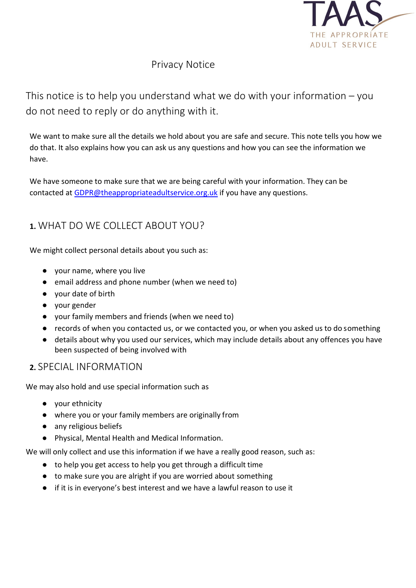

# Privacy Notice

This notice is to help you understand what we do with your information  $-$  you do not need to reply or do anything with it.

We want to make sure all the details we hold about you are safe and secure. This note tells you how we do that. It also explains how you can ask us any questions and how you can see the information we have.

We have someone to make sure that we are being careful with your information. They can be contacted at **GDPR@theappropriateadultservice.org.uk** if you have any questions.

# **1.** WHAT DO WE COLLECT ABOUT YOU?

We might collect personal details about you such as:

- your name, where you live
- email address and phone number (when we need to)
- your date of birth
- your gender
- your family members and friends (when we need to)
- records of when you contacted us, or we contacted you, or when you asked us to do something
- details about why you used our services, which may include details about any offences you have been suspected of being involved with

#### **2.** SPECIAL INFORMATION

We may also hold and use special information such as

- your ethnicity
- where you or your family members are originally from
- any religious beliefs
- Physical, Mental Health and Medical Information.

We will only collect and use this information if we have a really good reason, such as:

- to help you get access to help you get through a difficult time
- to make sure you are alright if you are worried about something
- if it is in everyone's best interest and we have a lawful reason to use it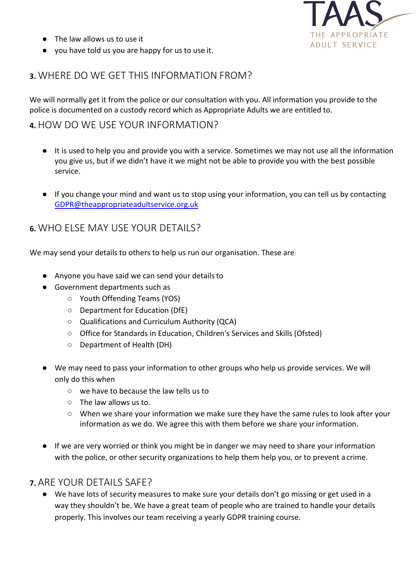

- The law allows us to use it
- you have told us you are happy for us to use it.

### **3.** WHERE DO WE GET THIS INFORMATION FROM?

We will normally get it from the police or our consultation with you. All information you provide to the police is documented on a custody record which as Appropriate Adults we are entitled to.

#### **4.** HOW DO WE USE YOUR INFORMATION?

- It is used to help you and provide you with a service. Sometimes we may not use all the information you give us, but if we didn't have it we might not be able to provide you with the best possible service.
- If you chan[g](mailto:GDPR@theappropriateadultservice.org.uk)e your mind and want us to stop using your information, you can tell us by contacting [GDPR@theappropriateadultservice.org.uk](mailto:GDPR@theappropriateadultservice.org.uk)

### **6.** WHO ELSE MAY USE YOUR DETAILS?

We may send your details to others to help us run our organisation. These are:

- Anyone you have said we can send your details to
- Government departments such as
	- Youth Offending Teams (YOS)
	- Department for Education (DfE)
	- Qualifications and Curriculum Authority (QCA)
	- Office for Standards in Education, Children's Services and Skills (Ofsted)
	- Department of Health (DH)
- We may need to pass your information to other groups who help us provide services. We will only do this when
	- we have to because the law tells us to
	- The law allows us to.
	- When we share your information we make sure they have the same rules to look after your information as we do. We agree this with them before we share your information.
- If we are very worried or think you might be in danger we may need to share your information with the police, or other security organizations to help them help you, or to prevent a crime.

#### **7.** ARE YOUR DETAILS SAFE?

● We have lots of security measures to make sure your details don't go missing or get used in a way they shouldn't be. We have a great team of people who are trained to handle your details properly. This involves our team receiving a yearly GDPR training course.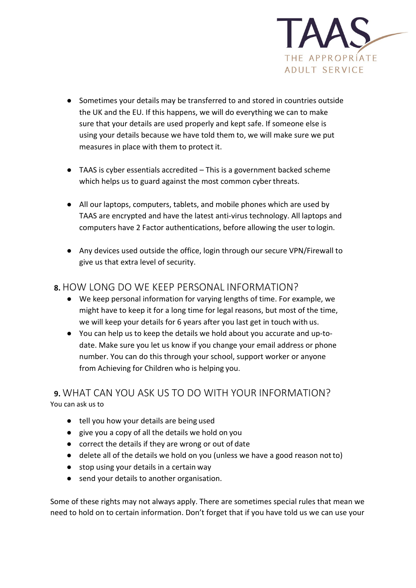

- Sometimes your details may be transferred to and stored in countries outside the UK and the EU. If this happens, we will do everything we can to make sure that your details are used properly and kept safe. If someone else is using your details because we have told them to, we will make sure we put measures in place with them to protect it.
- TAAS is cyber essentials accredited This is a government backed scheme which helps us to guard against the most common cyber threats.
- All our laptops, computers, tablets, and mobile phones which are used by TAAS are encrypted and have the latest anti-virus technology. All laptops and computers have 2 Factor authentications, before allowing the user to login.
- Any devices used outside the office, login through our secure VPN/Firewall to give us that extra level of security.

### **8.** HOW LONG DO WE KEEP PERSONAL INFORMATION?

- We keep personal information for varying lengths of time. For example, we might have to keep it for a long time for legal reasons, but most of the time, we will keep your details for 6 years after you last get in touch with us.
- You can help us to keep the details we hold about you accurate and up-todate. Make sure you let us know if you change your email address or phone number. You can do this through your school, support worker or anyone from Achieving for Children who is helping you.

#### **9.** WHAT CAN YOU ASK US TO DO WITH YOUR INFORMATION? You can ask us to

- tell you how your details are being used
- give you a copy of all the details we hold on you
- correct the details if they are wrong or out of date
- delete all of the details we hold on you (unless we have a good reason not to)
- stop using your details in a certain way
- send your details to another organisation.

Some of these rights may not always apply. There are sometimes special rules that mean we need to hold on to certain information. Don't forget that if you have told us we can use your